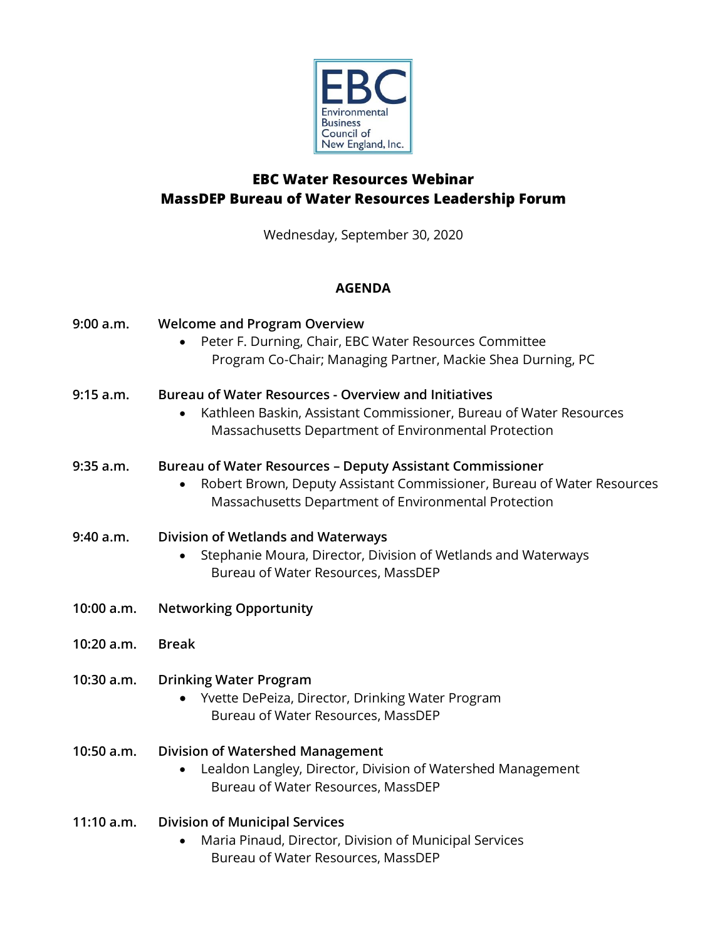

# **EBC Water Resources Webinar MassDEP Bureau of Water Resources Leadership Forum**

Wednesday, September 30, 2020

## **AGENDA**

| 9:00 a.m.  | <b>Welcome and Program Overview</b><br>Peter F. Durning, Chair, EBC Water Resources Committee<br>Program Co-Chair; Managing Partner, Mackie Shea Durning, PC                                       |
|------------|----------------------------------------------------------------------------------------------------------------------------------------------------------------------------------------------------|
| 9:15 a.m.  | <b>Bureau of Water Resources - Overview and Initiatives</b><br>Kathleen Baskin, Assistant Commissioner, Bureau of Water Resources<br>Massachusetts Department of Environmental Protection          |
| 9:35 a.m.  | <b>Bureau of Water Resources - Deputy Assistant Commissioner</b><br>Robert Brown, Deputy Assistant Commissioner, Bureau of Water Resources<br>Massachusetts Department of Environmental Protection |
| 9:40 a.m.  | Division of Wetlands and Waterways<br>Stephanie Moura, Director, Division of Wetlands and Waterways<br>Bureau of Water Resources, MassDEP                                                          |
| 10:00 a.m. | <b>Networking Opportunity</b>                                                                                                                                                                      |
| 10:20 a.m. | <b>Break</b>                                                                                                                                                                                       |
| 10:30 a.m. | <b>Drinking Water Program</b><br>Yvette DePeiza, Director, Drinking Water Program<br>Bureau of Water Resources, MassDEP                                                                            |
| 10:50 a.m. | <b>Division of Watershed Management</b>                                                                                                                                                            |
|            | Lealdon Langley, Director, Division of Watershed Management<br>Bureau of Water Resources, MassDEP                                                                                                  |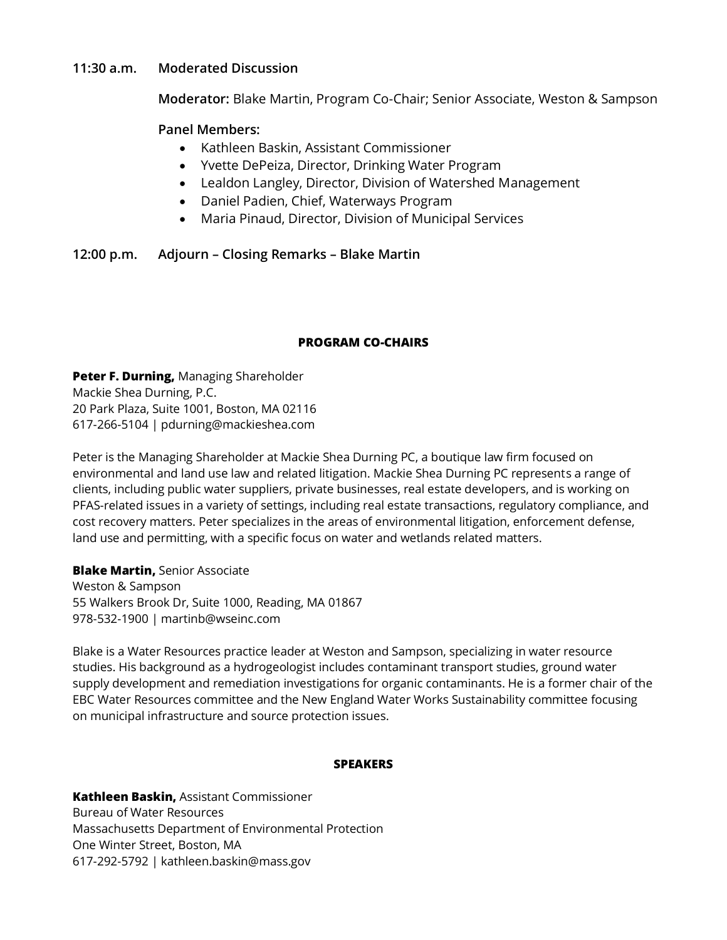## **11:30 a.m. Moderated Discussion**

**Moderator:** Blake Martin, Program Co-Chair; Senior Associate, Weston & Sampson

## **Panel Members:**

- Kathleen Baskin, Assistant Commissioner
- Yvette DePeiza, Director, Drinking Water Program
- Lealdon Langley, Director, Division of Watershed Management
- Daniel Padien, Chief, Waterways Program
- Maria Pinaud, Director, Division of Municipal Services

**12:00 p.m. Adjourn – Closing Remarks – Blake Martin**

#### **PROGRAM CO-CHAIRS**

**Peter F. Durning,** Managing Shareholder Mackie Shea Durning, P.C. 20 Park Plaza, Suite 1001, Boston, MA 02116 617-266-5104 | pdurning@mackieshea.com

Peter is the Managing Shareholder at Mackie Shea Durning PC, a boutique law firm focused on environmental and land use law and related litigation. Mackie Shea Durning PC represents a range of clients, including public water suppliers, private businesses, real estate developers, and is working on PFAS-related issues in a variety of settings, including real estate transactions, regulatory compliance, and cost recovery matters. Peter specializes in the areas of environmental litigation, enforcement defense, land use and permitting, with a specific focus on water and wetlands related matters.

**Blake Martin,** Senior Associate Weston & Sampson 55 Walkers Brook Dr, Suite 1000, Reading, MA 01867 978-532-1900 | martinb@wseinc.com

Blake is a Water Resources practice leader at Weston and Sampson, specializing in water resource studies. His background as a hydrogeologist includes contaminant transport studies, ground water supply development and remediation investigations for organic contaminants. He is a former chair of the EBC Water Resources committee and the New England Water Works Sustainability committee focusing on municipal infrastructure and source protection issues.

#### **SPEAKERS**

**Kathleen Baskin,** Assistant Commissioner Bureau of Water Resources Massachusetts Department of Environmental Protection One Winter Street, Boston, MA 617-292-5792 | kathleen.baskin@mass.gov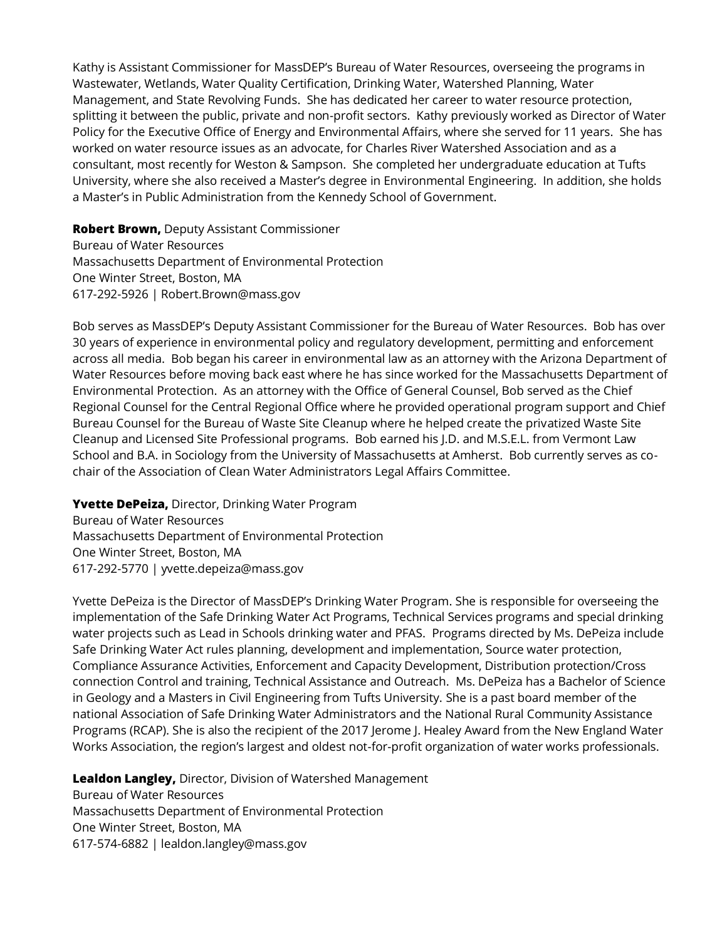Kathy is Assistant Commissioner for MassDEP's Bureau of Water Resources, overseeing the programs in Wastewater, Wetlands, Water Quality Certification, Drinking Water, Watershed Planning, Water Management, and State Revolving Funds. She has dedicated her career to water resource protection, splitting it between the public, private and non-profit sectors. Kathy previously worked as Director of Water Policy for the Executive Office of Energy and Environmental Affairs, where she served for 11 years. She has worked on water resource issues as an advocate, for Charles River Watershed Association and as a consultant, most recently for Weston & Sampson. She completed her undergraduate education at Tufts University, where she also received a Master's degree in Environmental Engineering. In addition, she holds a Master's in Public Administration from the Kennedy School of Government.

**Robert Brown,** Deputy Assistant Commissioner Bureau of Water Resources Massachusetts Department of Environmental Protection One Winter Street, Boston, MA 617-292-5926 | Robert.Brown@mass.gov

Bob serves as MassDEP's Deputy Assistant Commissioner for the Bureau of Water Resources. Bob has over 30 years of experience in environmental policy and regulatory development, permitting and enforcement across all media. Bob began his career in environmental law as an attorney with the Arizona Department of Water Resources before moving back east where he has since worked for the Massachusetts Department of Environmental Protection. As an attorney with the Office of General Counsel, Bob served as the Chief Regional Counsel for the Central Regional Office where he provided operational program support and Chief Bureau Counsel for the Bureau of Waste Site Cleanup where he helped create the privatized Waste Site Cleanup and Licensed Site Professional programs. Bob earned his J.D. and M.S.E.L. from Vermont Law School and B.A. in Sociology from the University of Massachusetts at Amherst. Bob currently serves as cochair of the Association of Clean Water Administrators Legal Affairs Committee.

**Yvette DePeiza,** Director, Drinking Water Program

Bureau of Water Resources Massachusetts Department of Environmental Protection One Winter Street, Boston, MA 617-292-5770 | yvette.depeiza@mass.gov

Yvette DePeiza is the Director of MassDEP's Drinking Water Program. She is responsible for overseeing the implementation of the Safe Drinking Water Act Programs, Technical Services programs and special drinking water projects such as Lead in Schools drinking water and PFAS. Programs directed by Ms. DePeiza include Safe Drinking Water Act rules planning, development and implementation, Source water protection, Compliance Assurance Activities, Enforcement and Capacity Development, Distribution protection/Cross connection Control and training, Technical Assistance and Outreach. Ms. DePeiza has a Bachelor of Science in Geology and a Masters in Civil Engineering from Tufts University. She is a past board member of the national Association of Safe Drinking Water Administrators and the National Rural Community Assistance Programs (RCAP). She is also the recipient of the 2017 Jerome J. Healey Award from the New England Water Works Association, the region's largest and oldest not-for-profit organization of water works professionals.

**Lealdon Langley,** Director, Division of Watershed Management Bureau of Water Resources Massachusetts Department of Environmental Protection One Winter Street, Boston, MA 617-574-6882 | lealdon.langley@mass.gov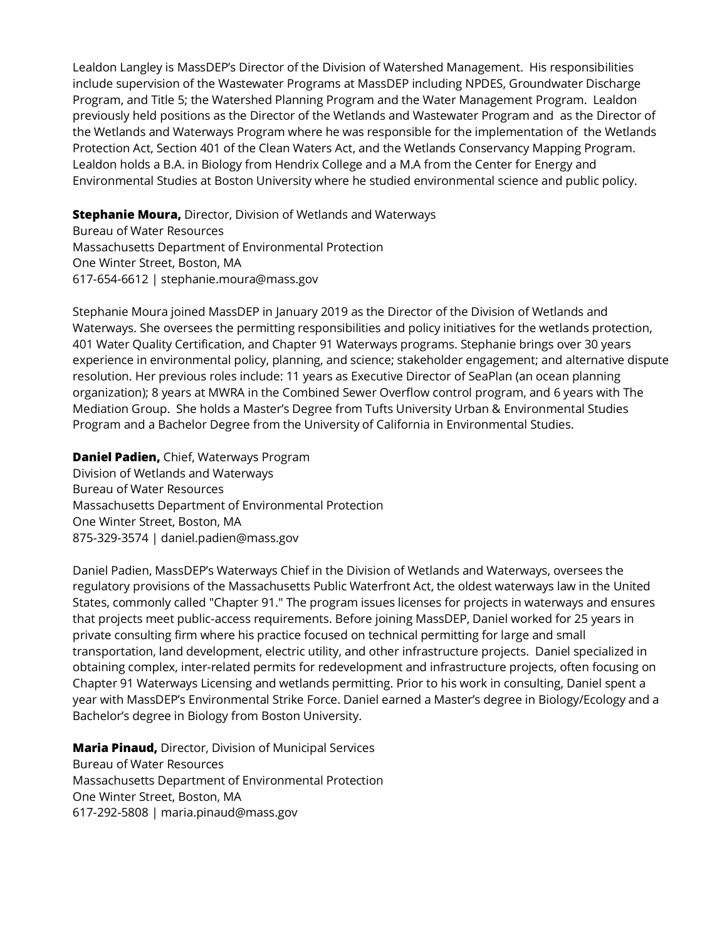Lealdon Langley is MassDEP's Director of the Division of Watershed Management. His responsibilities include supervision of the Wastewater Programs at MassDEP including NPDES, Groundwater Discharge Program, and Title 5; the Watershed Planning Program and the Water Management Program. Lealdon previously held positions as the Director of the Wetlands and Wastewater Program and as the Director of the Wetlands and Waterways Program where he was responsible for the implementation of the Wetlands Protection Act, Section 401 of the Clean Waters Act, and the Wetlands Conservancy Mapping Program. Lealdon holds a B.A. in Biology from Hendrix College and a M.A from the Center for Energy and Environmental Studies at Boston University where he studied environmental science and public policy.

## **Stephanie Moura,** Director, Division of Wetlands and Waterways

Bureau of Water Resources Massachusetts Department of Environmental Protection One Winter Street, Boston, MA 617-654-6612 | stephanie.moura@mass.gov

Stephanie Moura joined MassDEP in January 2019 as the Director of the Division of Wetlands and Waterways. She oversees the permitting responsibilities and policy initiatives for the wetlands protection, 401 Water Quality Certification, and Chapter 91 Waterways programs. Stephanie brings over 30 years experience in environmental policy, planning, and science; stakeholder engagement; and alternative dispute resolution. Her previous roles include: 11 years as Executive Director of SeaPlan (an ocean planning organization); 8 years at MWRA in the Combined Sewer Overflow control program, and 6 years with The Mediation Group. She holds a Master's Degree from Tufts University Urban & Environmental Studies Program and a Bachelor Degree from the University of California in Environmental Studies.

**Daniel Padien,** Chief, Waterways Program Division of Wetlands and Waterways Bureau of Water Resources Massachusetts Department of Environmental Protection One Winter Street, Boston, MA 875-329-3574 | daniel.padien@mass.gov

Daniel Padien, MassDEP's Waterways Chief in the Division of Wetlands and Waterways, oversees the regulatory provisions of the Massachusetts Public Waterfront Act, the oldest waterways law in the United States, commonly called "Chapter 91." The program issues licenses for projects in waterways and ensures that projects meet public-access requirements. Before joining MassDEP, Daniel worked for 25 years in private consulting firm where his practice focused on technical permitting for large and small transportation, land development, electric utility, and other infrastructure projects. Daniel specialized in obtaining complex, inter-related permits for redevelopment and infrastructure projects, often focusing on Chapter 91 Waterways Licensing and wetlands permitting. Prior to his work in consulting, Daniel spent a year with MassDEP's Environmental Strike Force. Daniel earned a Master's degree in Biology/Ecology and a Bachelor's degree in Biology from Boston University.

**Maria Pinaud,** Director, Division of Municipal Services Bureau of Water Resources Massachusetts Department of Environmental Protection One Winter Street, Boston, MA 617-292-5808 | maria.pinaud@mass.gov